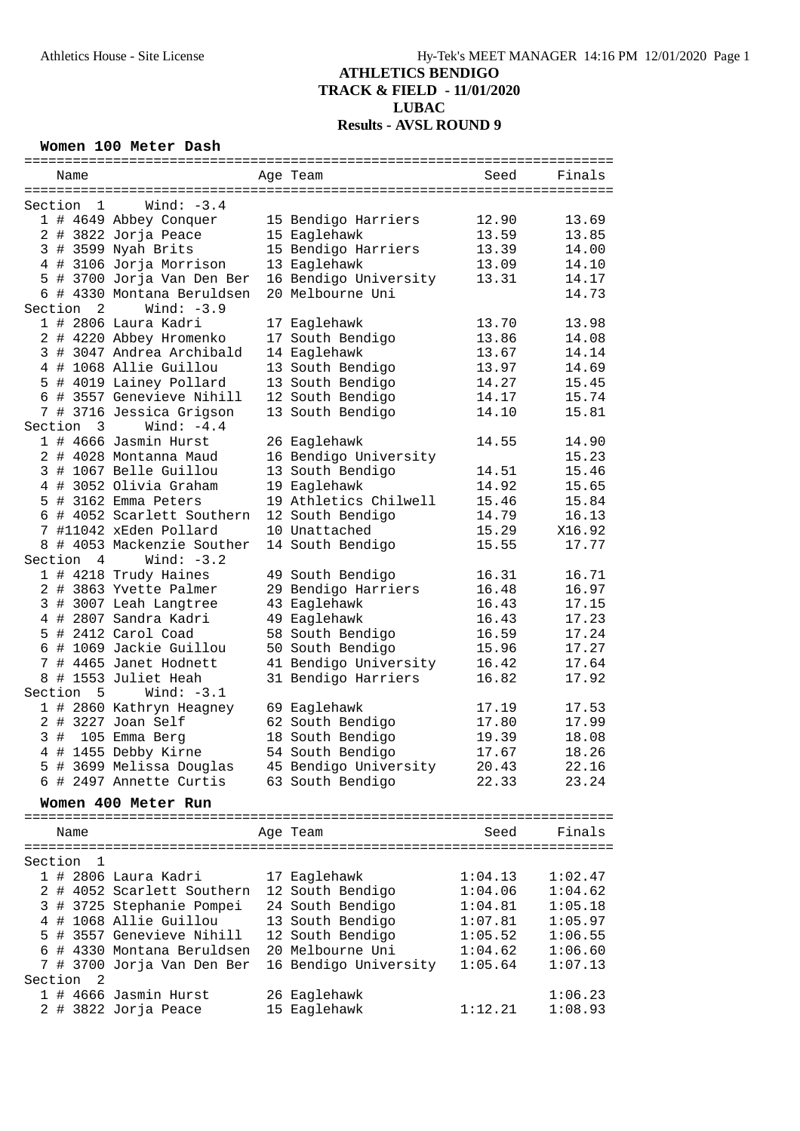#### **Women 100 Meter Dash**

| Name                      |                            | Age Team              | Seed    | Finals  |
|---------------------------|----------------------------|-----------------------|---------|---------|
|                           |                            |                       |         |         |
| Section<br>$\overline{1}$ | Wind: $-3.4$               |                       |         |         |
|                           | 1 # 4649 Abbey Conquer     | 15 Bendigo Harriers   | 12.90   | 13.69   |
|                           | 2 # 3822 Jorja Peace       | 15 Eaglehawk          | 13.59   | 13.85   |
|                           | 3 # 3599 Nyah Brits        | 15 Bendigo Harriers   | 13.39   |         |
|                           |                            |                       |         | 14.00   |
|                           | 4 # 3106 Jorja Morrison    | 13 Eaglehawk          | 13.09   | 14.10   |
|                           | 5 # 3700 Jorja Van Den Ber | 16 Bendigo University | 13.31   | 14.17   |
|                           | 6 # 4330 Montana Beruldsen | 20 Melbourne Uni      |         | 14.73   |
| Section 2                 | Wind: $-3.9$               |                       |         |         |
|                           | 1 # 2806 Laura Kadri       | 17 Eaglehawk          | 13.70   | 13.98   |
|                           | 2 # 4220 Abbey Hromenko    | 17 South Bendigo      | 13.86   | 14.08   |
|                           | 3 # 3047 Andrea Archibald  | 14 Eaglehawk          | 13.67   | 14.14   |
|                           | 4 # 1068 Allie Guillou     | 13 South Bendigo      | 13.97   | 14.69   |
|                           | 5 # 4019 Lainey Pollard    | 13 South Bendigo      | 14.27   | 15.45   |
|                           | 6 # 3557 Genevieve Nihill  | 12 South Bendigo      | 14.17   | 15.74   |
|                           | 7 # 3716 Jessica Grigson   | 13 South Bendigo      | 14.10   | 15.81   |
|                           | Wind: $-4.4$               |                       |         |         |
| Section 3                 |                            |                       |         |         |
|                           | 1 # 4666 Jasmin Hurst      | 26 Eaglehawk          | 14.55   | 14.90   |
|                           | 2 # 4028 Montanna Maud     | 16 Bendigo University |         | 15.23   |
|                           | 3 # 1067 Belle Guillou     | 13 South Bendigo      | 14.51   | 15.46   |
|                           | 4 # 3052 Olivia Graham     | 19 Eaglehawk          | 14.92   | 15.65   |
|                           | 5 # 3162 Emma Peters       | 19 Athletics Chilwell | 15.46   | 15.84   |
|                           | 6 # 4052 Scarlett Southern | 12 South Bendigo      | 14.79   | 16.13   |
|                           | 7 #11042 xEden Pollard     | 10 Unattached         | 15.29   | X16.92  |
|                           | 8 # 4053 Mackenzie Souther | 14 South Bendigo      | 15.55   | 17.77   |
|                           |                            |                       |         |         |
| Section 4                 | Wind: $-3.2$               |                       |         |         |
|                           | 1 # 4218 Trudy Haines      | 49 South Bendigo      | 16.31   | 16.71   |
|                           | 2 # 3863 Yvette Palmer     | 29 Bendigo Harriers   | 16.48   | 16.97   |
|                           | 3 # 3007 Leah Langtree     | 43 Eaglehawk          | 16.43   | 17.15   |
|                           | 4 # 2807 Sandra Kadri      | 49 Eaglehawk          | 16.43   | 17.23   |
|                           | 5 # 2412 Carol Coad        | 58 South Bendigo      | 16.59   | 17.24   |
|                           | 6 # 1069 Jackie Guillou    | 50 South Bendigo      | 15.96   | 17.27   |
| 7                         | # 4465 Janet Hodnett       | 41 Bendigo University | 16.42   | 17.64   |
|                           | 8 # 1553 Juliet Heah       | 31 Bendigo Harriers   | 16.82   | 17.92   |
| Section 5                 | Wind: $-3.1$               |                       |         |         |
|                           | 1 # 2860 Kathryn Heagney   | 69 Eaglehawk          | 17.19   | 17.53   |
|                           |                            |                       |         |         |
|                           | 2 # 3227 Joan Self         | 62 South Bendigo      | 17.80   | 17.99   |
| 3#                        | 105 Emma Berg              | 18 South Bendigo      | 19.39   | 18.08   |
| 4                         | # 1455 Debby Kirne         | 54 South Bendigo      | 17.67   | 18.26   |
|                           | 5 # 3699 Melissa Douglas   | 45 Bendigo University | 20.43   | 22.16   |
|                           | 6 # 2497 Annette Curtis    | 63 South Bendigo      | 22.33   | 23.24   |
|                           | Women 400 Meter Run        |                       |         |         |
|                           |                            |                       |         |         |
|                           |                            |                       | Seed    | Finals  |
| Name                      |                            | Age Team              |         |         |
|                           |                            |                       |         |         |
| Section<br>$\overline{1}$ |                            |                       |         |         |
|                           | 1 # 2806 Laura Kadri       | 17 Eaglehawk          | 1:04.13 | 1:02.47 |
|                           | 2 # 4052 Scarlett Southern | 12 South Bendigo      | 1:04.06 | 1:04.62 |
| 3                         | # 3725 Stephanie Pompei    | 24 South Bendigo      | 1:04.81 | 1:05.18 |
|                           | 4 # 1068 Allie Guillou     | 13 South Bendigo      | 1:07.81 | 1:05.97 |
|                           | 5 # 3557 Genevieve Nihill  | 12 South Bendigo      | 1:05.52 | 1:06.55 |
|                           | 6 # 4330 Montana Beruldsen | 20 Melbourne Uni      | 1:04.62 | 1:06.60 |
|                           | 7 # 3700 Jorja Van Den Ber | 16 Bendigo University | 1:05.64 | 1:07.13 |
| -2<br>Section             |                            |                       |         |         |
|                           | $1$ # 4666 Jasmin Hurst    | 26 Eaglehawk          |         | 1:06.23 |
|                           |                            |                       |         |         |
|                           | 2 # 3822 Jorja Peace       | 15 Eaglehawk          | 1:12.21 | 1:08.93 |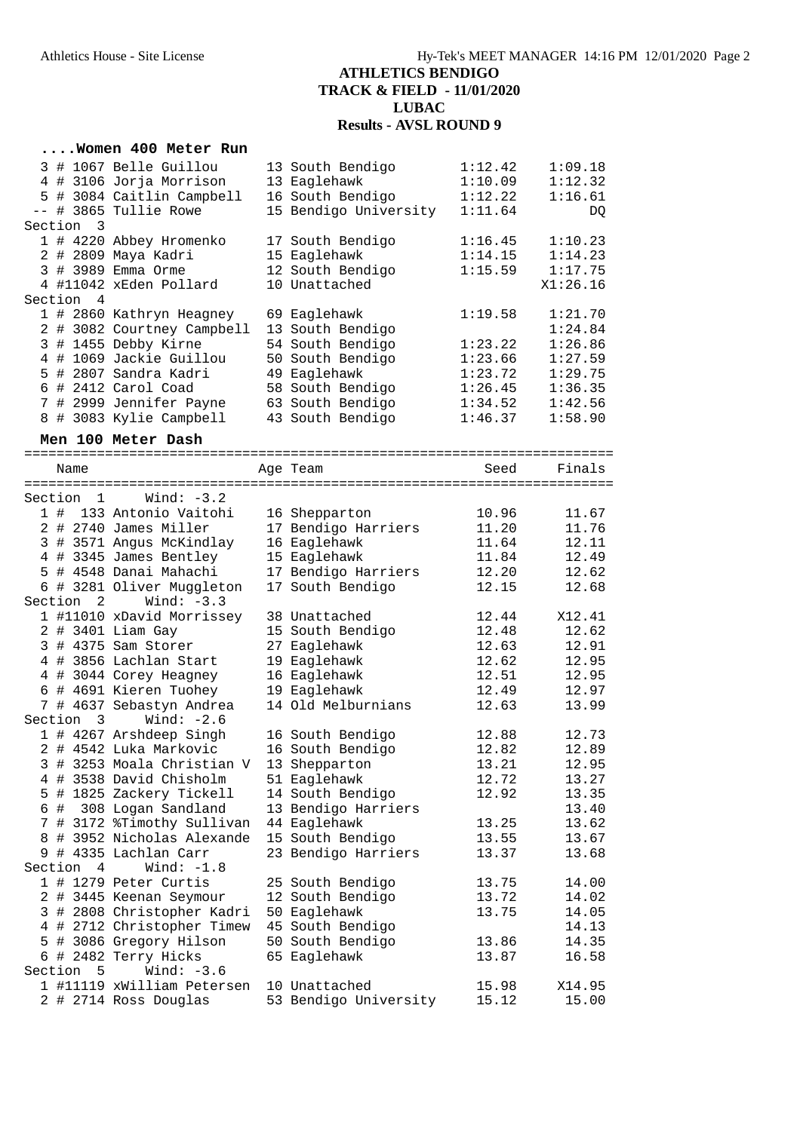#### **....Women 400 Meter Run** 3 # 1067 Belle Guillou 13 South Bendigo 1:12.42 1:09.18 4 # 3106 Jorja Morrison 13 Eaglehawk 1:10.09 1:12.32 5 # 3084 Caitlin Campbell 16 South Bendigo 1:12.22 1:16.61 -- # 3865 Tullie Rowe 15 Bendigo University 1:11.64 DQ Section 3 1 # 4220 Abbey Hromenko 17 South Bendigo 1:16.45 1:10.23 2 # 2809 Maya Kadri 15 Eaglehawk 1:14.15 1:14.23 3 # 3989 Emma Orme 12 South Bendigo 1:15.59 1:17.75 4 #11042 xEden Pollard 10 Unattached X1:26.16 Section 4 1 # 2860 Kathryn Heagney 69 Eaglehawk 1:19.58 1:21.70 2 # 3082 Courtney Campbell 13 South Bendigo 1:24.84 3 # 1455 Debby Kirne 54 South Bendigo 1:23.22 1:26.86 4 # 1069 Jackie Guillou 50 South Bendigo 1:23.66 1:27.59 5 # 2807 Sandra Kadri 49 Eaglehawk 1:23.72 1:29.75 6 # 2412 Carol Coad 58 South Bendigo 1:26.45 1:36.35 7 # 2999 Jennifer Payne 63 South Bendigo 1:34.52 1:42.56 8 # 3083 Kylie Campbell 43 South Bendigo 1:46.37 1:58.90 **Men 100 Meter Dash** ========================================================================= Age Team Seed Finals ========================================================================= Section 1 Wind: -3.2 1 # 133 Antonio Vaitohi 16 Shepparton 10.96 11.67 2 # 2740 James Miller 17 Bendigo Harriers 11.20 11.76 3 # 3571 Angus McKindlay 16 Eaglehawk 11.64 12.11 4 # 3345 James Bentley 15 Eaglehawk 11.84 12.49 5 # 4548 Danai Mahachi 17 Bendigo Harriers 12.20 12.62 6 # 3281 Oliver Muggleton 17 South Bendigo 12.15 12.68 Section 2 Wind: -3.3 1 #11010 xDavid Morrissey 38 Unattached 12.44 X12.41 2 # 3401 Liam Gay 15 South Bendigo 12.48 12.62 3 # 4375 Sam Storer 27 Eaglehawk 12.63 12.91 4 # 3856 Lachlan Start 19 Eaglehawk 12.62 12.95 4 # 3044 Corey Heagney 16 Eaglehawk 12.51 12.95 6 # 4691 Kieren Tuohey 19 Eaglehawk 12.49 12.97 7 # 4637 Sebastyn Andrea 14 Old Melburnians 12.63 13.99 Section 3 Wind: -2.6 1 # 4267 Arshdeep Singh 16 South Bendigo 12.88 12.73 2 # 4542 Luka Markovic 16 South Bendigo 12.82 12.89 3 # 3253 Moala Christian V 13 Shepparton 13.21 12.95 4 # 3538 David Chisholm 51 Eaglehawk 12.72 13.27 5 # 1825 Zackery Tickell 14 South Bendigo 12.92 13.35 6 # 308 Logan Sandland 13 Bendigo Harriers 13.40 7 # 3172 %Timothy Sullivan 44 Eaglehawk 13.25 13.62 8 # 3952 Nicholas Alexande 15 South Bendigo 13.55 13.67 9 # 4335 Lachlan Carr 23 Bendigo Harriers 13.37 13.68 Section 4 Wind: -1.8 1 # 1279 Peter Curtis 25 South Bendigo 13.75 14.00 2 # 3445 Keenan Seymour 12 South Bendigo 13.72 14.02 3 # 2808 Christopher Kadri 50 Eaglehawk 13.75 14.05 4 # 2712 Christopher Timew 45 South Bendigo 14.13 5 # 3086 Gregory Hilson 50 South Bendigo 13.86 14.35 6 # 2482 Terry Hicks 65 Eaglehawk 13.87 16.58 Section 5 Wind: -3.6 1 #11119 xWilliam Petersen 10 Unattached 15.98 X14.95 2 # 2714 Ross Douglas 53 Bendigo University 15.12 15.00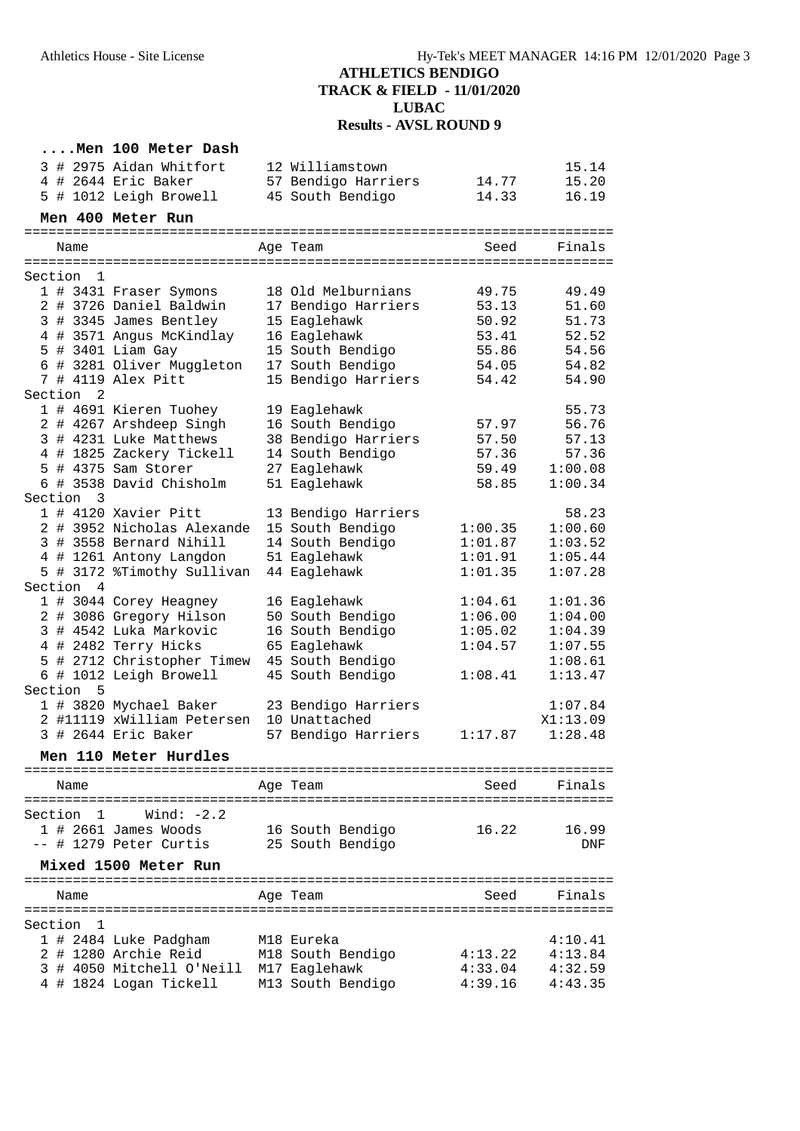### **....Men 100 Meter Dash** 3 # 2975 Aidan Whitfort 12 Williamstown 15.14 4 # 2644 Eric Baker 57 Bendigo Harriers 14.77 15.20 5 # 1012 Leigh Browell 45 South Bendigo 14.33 16.19

#### **Men 400 Meter Run**

| Name                                    | Age Team            | Seed<br>============================== | Finals   |
|-----------------------------------------|---------------------|----------------------------------------|----------|
| Section<br>1                            |                     |                                        |          |
| 1 # 3431 Fraser Symons                  | 18 Old Melburnians  | 49.75                                  | 49.49    |
| 2 # 3726 Daniel Baldwin                 | 17 Bendigo Harriers | 53.13                                  | 51.60    |
| 3 # 3345 James Bentley                  | 15 Eaglehawk        | 50.92                                  | 51.73    |
| 4 # 3571 Angus McKindlay                | 16 Eaglehawk        | 53.41                                  | 52.52    |
| 5 # 3401 Liam Gay                       | 15 South Bendigo    | 55.86                                  | 54.56    |
| 6 # 3281 Oliver Muggleton               | 17 South Bendigo    | 54.05                                  | 54.82    |
| 7 # 4119 Alex Pitt                      | 15 Bendigo Harriers | 54.42                                  | 54.90    |
| Section<br>$\overline{2}$               |                     |                                        |          |
| 1 # 4691 Kieren Tuohey                  | 19 Eaglehawk        |                                        | 55.73    |
| 2 # 4267 Arshdeep Singh                 | 16 South Bendigo    | 57.97                                  | 56.76    |
| 3 # 4231 Luke Matthews                  | 38 Bendigo Harriers | 57.50                                  | 57.13    |
| 4 # 1825 Zackery Tickell                | 14 South Bendigo    | 57.36                                  | 57.36    |
| 5 # 4375 Sam Storer                     | 27 Eaglehawk        | 59.49                                  | 1:00.08  |
| $6$ # 3538 David Chisholm               | 51 Eaglehawk        | 58.85                                  | 1:00.34  |
| Section<br>3                            |                     |                                        |          |
| 1 # 4120 Xavier Pitt                    | 13 Bendigo Harriers |                                        | 58.23    |
| 2 # 3952 Nicholas Alexande              | 15 South Bendigo    | 1:00.35                                | 1:00.60  |
| 3 # 3558 Bernard Nihill                 | 14 South Bendigo    | 1:01.87                                | 1:03.52  |
| 4 # 1261 Antony Langdon                 | 51 Eaglehawk        | 1:01.91                                | 1:05.44  |
| 5 # 3172 %Timothy Sullivan              | 44 Eaglehawk        | 1:01.35                                | 1:07.28  |
| Section 4                               |                     |                                        |          |
| 1 # 3044 Corey Heagney                  | 16 Eaglehawk        | 1:04.61                                | 1:01.36  |
| 2 # 3086 Gregory Hilson                 | 50 South Bendigo    | 1:06.00                                | 1:04.00  |
| 3 # 4542 Luka Markovic                  | 16 South Bendigo    | 1:05.02                                | 1:04.39  |
| 4 # 2482 Terry Hicks                    | 65 Eaglehawk        | 1:04.57                                | 1:07.55  |
| 5 # 2712 Christopher Timew              | 45 South Bendigo    |                                        | 1:08.61  |
| 6 # 1012 Leigh Browell                  | 45 South Bendigo    | 1:08.41                                | 1:13.47  |
| Section<br>5                            |                     |                                        |          |
| 1 # 3820 Mychael Baker                  | 23 Bendigo Harriers |                                        | 1:07.84  |
| 2 #11119 xWilliam Petersen              | 10 Unattached       |                                        | X1:13.09 |
| 3 # 2644 Eric Baker                     | 57 Bendigo Harriers | 1:17.87                                | 1:28.48  |
| Men 110 Meter Hurdles                   |                     |                                        |          |
| =============================           |                     |                                        |          |
| Name                                    | Age Team            | Seed                                   | Finals   |
|                                         |                     |                                        |          |
| Wind: $-2.2$<br>Section<br>$\mathbf{1}$ |                     |                                        |          |

|           | $1$ # 2661 James Woods<br>-- # 1279 Peter Curtis | 16 South Bendigo<br>25 South Bendigo | 16.22   | 16.99<br><b>DNF</b> |
|-----------|--------------------------------------------------|--------------------------------------|---------|---------------------|
|           | Mixed 1500 Meter Run                             |                                      |         |                     |
| Name      |                                                  | Age Team                             | Seed    | Finals              |
| Section 1 |                                                  |                                      |         |                     |
|           | 1 # 2484 Luke Padgham                            | M18 Eureka                           |         | 4:10.41             |
|           | 2 # 1280 Archie Reid                             | M18 South Bendigo                    | 4:13.22 | 4:13.84             |
|           | 3 # 4050 Mitchell O'Neill                        | M17 Eaglehawk                        | 4:33.04 | 4:32.59             |
|           | 4 # 1824 Logan Tickell                           | M13 South Bendigo                    | 4:39.16 | 4:43.35             |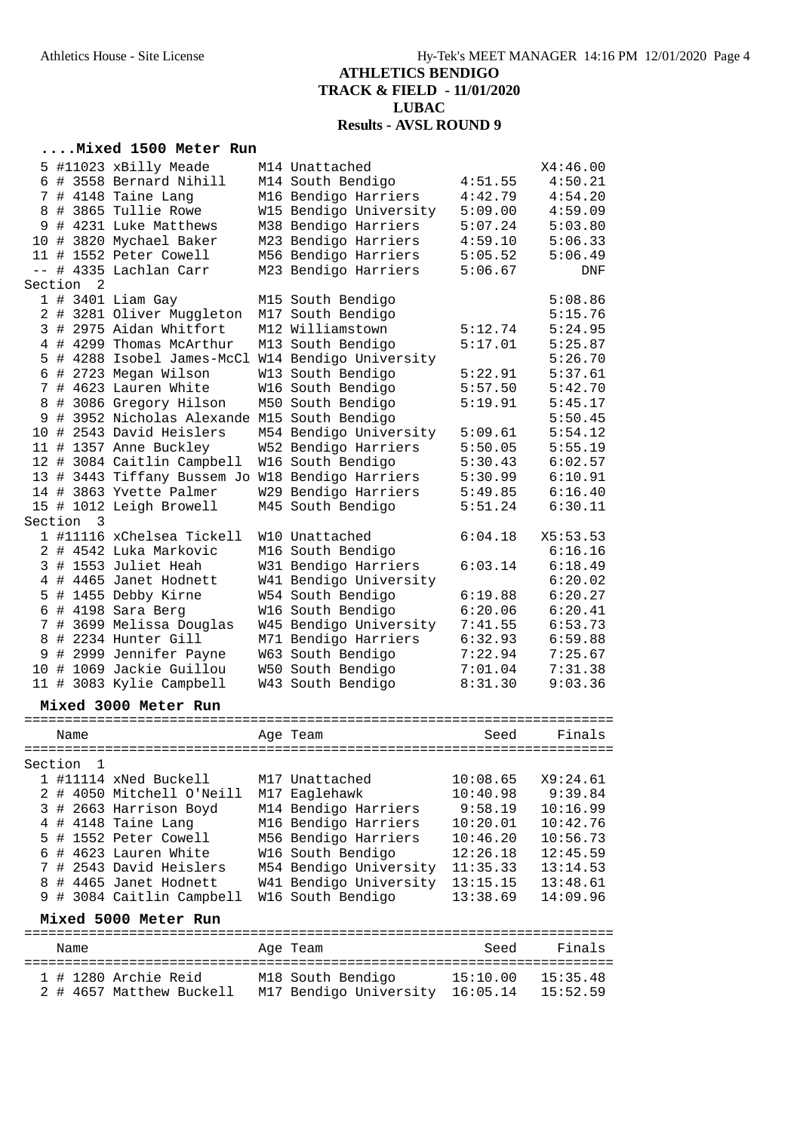### **....Mixed 1500 Meter Run**

|         |                      | 5 #11023 xBilly Meade                            | M14 Unattached                  |          | X4:46.00 |
|---------|----------------------|--------------------------------------------------|---------------------------------|----------|----------|
|         |                      | 6 # 3558 Bernard Nihill                          | M14 South Bendigo               | 4:51.55  | 4:50.21  |
|         |                      | 7 # 4148 Taine Lang                              | M16 Bendigo Harriers            | 4:42.79  | 4:54.20  |
|         |                      |                                                  |                                 |          |          |
|         |                      | 8 # 3865 Tullie Rowe                             | W15 Bendigo University          | 5:09.00  | 4:59.09  |
|         |                      | 9 # 4231 Luke Matthews                           | M38 Bendigo Harriers            | 5:07.24  | 5:03.80  |
|         |                      | 10 # 3820 Mychael Baker                          | M23 Bendigo Harriers            | 4:59.10  | 5:06.33  |
|         |                      | 11 # 1552 Peter Cowell                           | M56 Bendigo Harriers            | 5:05.52  | 5:06.49  |
| $--$    |                      | # 4335 Lachlan Carr                              | M23 Bendigo Harriers            | 5:06.67  | DNF      |
|         | Section <sub>2</sub> |                                                  |                                 |          |          |
|         |                      | $1$ # 3401 Liam Gay                              | M15 South Bendigo               |          | 5:08.86  |
|         |                      | 2 # 3281 Oliver Muggleton                        | M17 South Bendigo               |          | 5:15.76  |
|         |                      | 3 # 2975 Aidan Whitfort                          | M12 Williamstown                | 5:12.74  | 5:24.95  |
|         |                      | 4 # 4299 Thomas McArthur                         | M13 South Bendigo               | 5:17.01  | 5:25.87  |
|         |                      | 5 # 4288 Isobel James-McCl                       | W14 Bendigo University          |          | 5:26.70  |
|         |                      |                                                  |                                 |          |          |
|         |                      | 6 # 2723 Megan Wilson                            | W13 South Bendigo               | 5:22.91  | 5:37.61  |
|         |                      | 7 # 4623 Lauren White                            | W16 South Bendigo               | 5:57.50  | 5:42.70  |
|         |                      | 8 # 3086 Gregory Hilson                          | M50 South Bendigo               | 5:19.91  | 5:45.17  |
| 9       |                      | # 3952 Nicholas Alexande M15 South Bendigo       |                                 |          | 5:50.45  |
|         |                      | 10 # 2543 David Heislers                         | M54 Bendigo University          | 5:09.61  | 5:54.12  |
|         |                      | 11 # 1357 Anne Buckley                           | W52 Bendigo Harriers            | 5:50.05  | 5:55.19  |
|         |                      | 12 # 3084 Caitlin Campbell                       | W16 South Bendigo               | 5:30.43  | 6:02.57  |
|         |                      | 13 # 3443 Tiffany Bussem Jo W18 Bendigo Harriers |                                 | 5:30.99  | 6:10.91  |
|         |                      | 14 # 3863 Yvette Palmer                          | W29 Bendigo Harriers            | 5:49.85  | 6:16.40  |
|         |                      | 15 # 1012 Leigh Browell                          | M45 South Bendigo               | 5:51.24  | 6:30.11  |
| Section | 3                    |                                                  |                                 |          |          |
|         |                      |                                                  |                                 |          |          |
|         |                      | 1 #11116 xChelsea Tickell                        | W10 Unattached                  | 6:04.18  | X5:53.53 |
|         |                      | 2 # 4542 Luka Markovic                           | M16 South Bendigo               |          | 6:16.16  |
|         |                      | 3 # 1553 Juliet Heah                             | W31 Bendigo Harriers            | 6:03.14  | 6:18.49  |
|         |                      | 4 # 4465 Janet Hodnett                           | W41 Bendigo University          |          | 6:20.02  |
|         |                      | 5 # 1455 Debby Kirne                             | W54 South Bendigo               | 6:19.88  | 6:20.27  |
|         |                      | 6 # 4198 Sara Berg                               | W16 South Bendigo               | 6:20.06  | 6:20.41  |
|         |                      | 7 # 3699 Melissa Douglas                         | W45 Bendigo University          | 7:41.55  | 6:53.73  |
| 8       |                      | # 2234 Hunter Gill                               | M71 Bendigo Harriers            | 6:32.93  | 6:59.88  |
|         |                      | 9 # 2999 Jennifer Payne                          | W63 South Bendigo               | 7:22.94  | 7:25.67  |
|         |                      | 10 # 1069 Jackie Guillou                         | W50 South Bendigo               | 7:01.04  | 7:31.38  |
|         |                      | 11 # 3083 Kylie Campbell                         | W43 South Bendigo               | 8:31.30  | 9:03.36  |
|         |                      |                                                  |                                 |          |          |
|         |                      | Mixed 3000 Meter Run                             |                                 |          |          |
|         |                      |                                                  |                                 |          |          |
|         | Name                 |                                                  | Age Team                        | Seed     | Finals   |
|         |                      |                                                  |                                 |          |          |
| Section | $\mathbf{1}$         |                                                  |                                 |          |          |
|         |                      | 1 #11114 xNed Buckell                            | M17 Unattached                  | 10:08.65 | X9:24.61 |
|         |                      | 2 # 4050 Mitchell O'Neill                        | M17 Eaglehawk                   | 10:40.98 | 9:39.84  |
|         |                      | 3 # 2663 Harrison Boyd                           | M14 Bendigo Harriers            | 9:58.19  | 10:16.99 |
|         |                      | 4 # 4148 Taine Lang                              | M16 Bendigo Harriers            | 10:20.01 | 10:42.76 |
|         |                      | 5 # 1552 Peter Cowell                            | M56 Bendigo Harriers            | 10:46.20 | 10:56.73 |
|         |                      | 6 # 4623 Lauren White                            | W16 South Bendigo               | 12:26.18 | 12:45.59 |
|         |                      |                                                  | M54 Bendigo University          |          |          |
|         |                      | 7 # 2543 David Heislers                          |                                 | 11:35.33 | 13:14.53 |
|         |                      | 8 # 4465 Janet Hodnett                           | W41 Bendigo University          | 13:15.15 | 13:48.61 |
|         |                      | 9 # 3084 Caitlin Campbell                        | W16 South Bendigo               | 13:38.69 | 14:09.96 |
|         |                      | Mixed 5000 Meter Run                             |                                 |          |          |
|         |                      |                                                  |                                 |          |          |
|         | Name                 |                                                  | Age Team                        | Seed     | Finals   |
|         |                      |                                                  |                                 |          |          |
|         |                      | 1 # 1280 Archie Reid                             | M18 South Bendigo               | 15:10.00 | 15:35.48 |
|         |                      | 2 # 4657 Matthew Buckell                         | M17 Bendigo University 16:05.14 |          | 15:52.59 |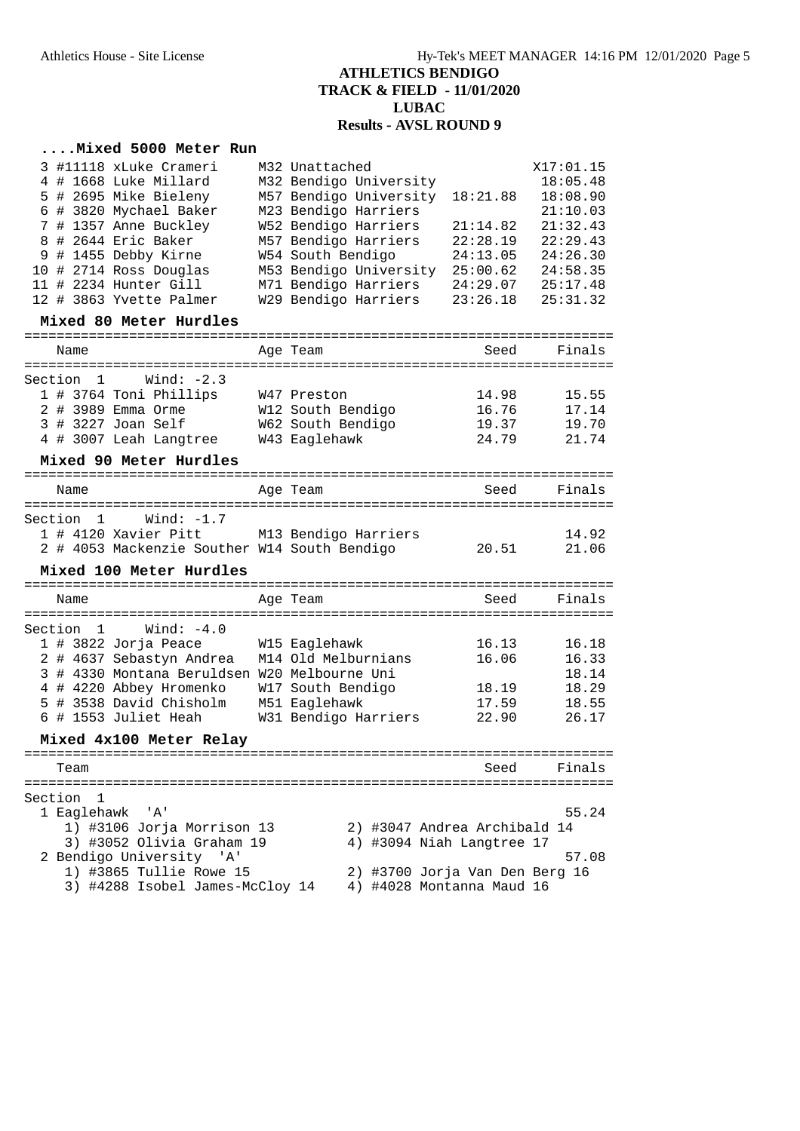### **....Mixed 5000 Meter Run**

| 3 #11118 xLuke Crameri                                     | M32 Unattached                                              |          | X17:01.15 |
|------------------------------------------------------------|-------------------------------------------------------------|----------|-----------|
| 4 # 1668 Luke Millard                                      | M32 Bendigo University                                      |          | 18:05.48  |
| 5 # 2695 Mike Bieleny                                      | M57 Bendigo University                                      | 18:21.88 | 18:08.90  |
| 6 # 3820 Mychael Baker                                     | M23 Bendigo Harriers                                        |          | 21:10.03  |
| 7 # 1357 Anne Buckley                                      | W52 Bendigo Harriers                                        | 21:14.82 | 21:32.43  |
| 8 # 2644 Eric Baker                                        | M57 Bendigo Harriers                                        | 22:28.19 | 22:29.43  |
| 9 # 1455 Debby Kirne                                       | W54 South Bendigo                                           | 24:13.05 | 24:26.30  |
| 10 # 2714 Ross Douglas                                     | M53 Bendigo University                                      | 25:00.62 | 24:58.35  |
| 11 # 2234 Hunter Gill                                      | M71 Bendigo Harriers                                        | 24:29.07 | 25:17.48  |
| 12 # 3863 Yvette Palmer                                    | W29 Bendigo Harriers                                        | 23:26.18 | 25:31.32  |
| Mixed 80 Meter Hurdles                                     |                                                             |          |           |
| Name                                                       | Age Team                                                    | Seed     | Finals    |
| Wind: $-2.3$<br>Section 1                                  |                                                             |          |           |
| 1 # 3764 Toni Phillips                                     | W47 Preston                                                 | 14.98    | 15.55     |
| 2 # 3989 Emma Orme                                         | W12 South Bendigo                                           | 16.76    | 17.14     |
| 3 # 3227 Joan Self                                         | W62 South Bendigo                                           | 19.37    | 19.70     |
| 4 # 3007 Leah Langtree                                     | W43 Eaglehawk                                               | 24.79    | 21.74     |
| Mixed 90 Meter Hurdles                                     |                                                             |          |           |
| Name                                                       | Age Team                                                    | Seed     | Finals    |
| Wind: -1.7<br>Section 1                                    |                                                             |          |           |
| 1 # 4120 Xavier Pitt M13 Bendigo Harriers                  |                                                             |          | 14.92     |
|                                                            |                                                             |          |           |
|                                                            |                                                             |          |           |
| 2 # 4053 Mackenzie Souther W14 South Bendigo               |                                                             | 20.51    | 21.06     |
| Mixed 100 Meter Hurdles                                    |                                                             |          |           |
| Name                                                       | Age Team                                                    | Seed     | Finals    |
| Section $1$ Wind: $-4.0$                                   |                                                             |          |           |
|                                                            |                                                             | 16.13    | 16.18     |
| 1 # 3822 Jorja Peace<br>2 # 4637 Sebastyn Andrea           | W15 Eaglehawk<br>M14 Old Melburnians                        | 16.06    | 16.33     |
| 3 # 4330 Montana Beruldsen W20 Melbourne Uni               |                                                             |          | 18.14     |
| 4 # 4220 Abbey Hromenko                                    | W17 South Bendigo                                           | 18.19    | 18.29     |
| 5 # 3538 David Chisholm                                    | M51 Eaglehawk                                               | 17.59    | 18.55     |
| 6 # 1553 Juliet Heah                                       | W31 Bendigo Harriers                                        | 22.90    | 26.17     |
| Mixed 4x100 Meter Relay                                    |                                                             |          |           |
| Team                                                       |                                                             | Seed     | Fınals    |
|                                                            |                                                             |          |           |
| Section<br>1                                               |                                                             |          |           |
| 1 Eaglehawk<br>'A'                                         |                                                             |          | 55.24     |
| 1) #3106 Jorja Morrison 13                                 | 2) #3047 Andrea Archibald 14                                |          |           |
| 3) #3052 Olivia Graham 19                                  | 4) #3094 Niah Langtree 17                                   |          |           |
| 2 Bendigo University<br>' A '                              |                                                             |          | 57.08     |
| 1) #3865 Tullie Rowe 15<br>3) #4288 Isobel James-McCloy 14 | 2) #3700 Jorja Van Den Berg 16<br>4) #4028 Montanna Maud 16 |          |           |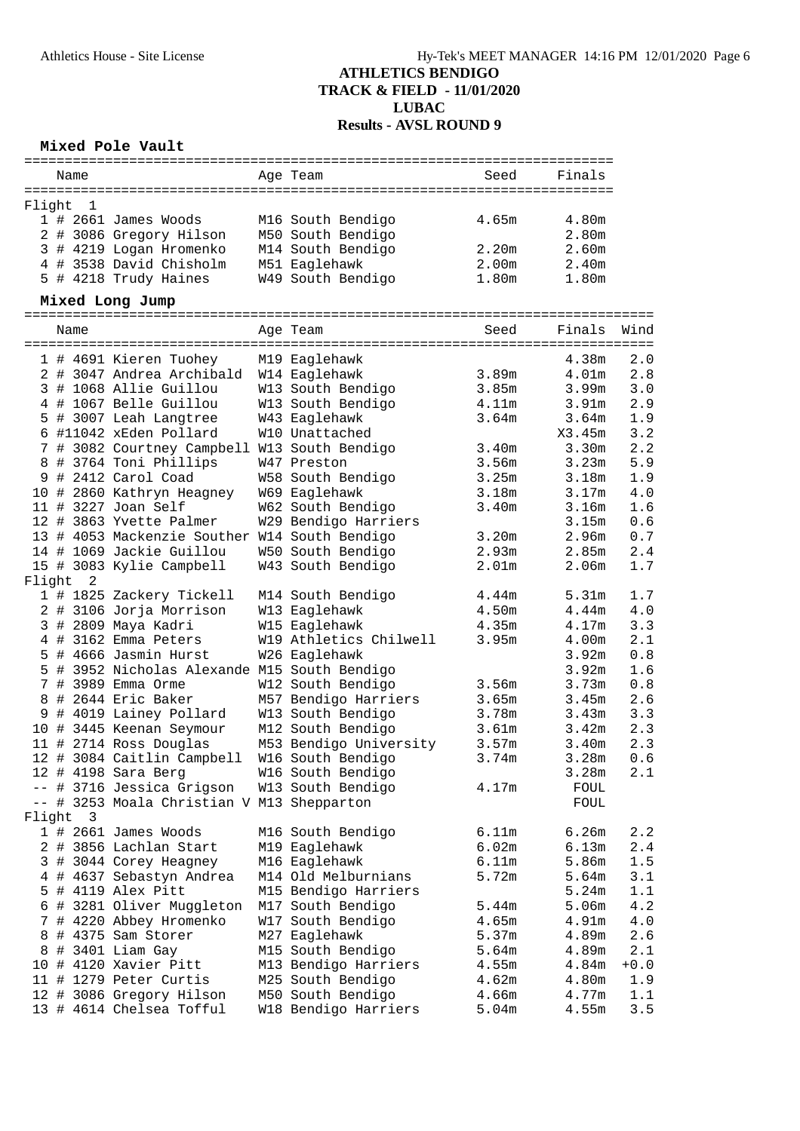### **Mixed Pole Vault**

|        | Name           |                                               | Age Team               | Seed              | Finals            |        |
|--------|----------------|-----------------------------------------------|------------------------|-------------------|-------------------|--------|
| Flight | 1              |                                               |                        |                   |                   |        |
|        |                | 1 # 2661 James Woods                          | M16 South Bendigo      | 4.65m             | 4.80m             |        |
|        |                | 2 # 3086 Gregory Hilson                       | M50 South Bendigo      |                   | 2.80m             |        |
|        |                | 3 # 4219 Logan Hromenko                       | M14 South Bendigo      | 2.20m             | 2.60m             |        |
|        |                | 4 # 3538 David Chisholm                       | M51 Eaglehawk          | 2.00m             | 2.40m             |        |
|        |                | 5 # 4218 Trudy Haines                         | W49 South Bendigo      | 1.80m             | 1.80m             |        |
|        |                |                                               |                        |                   |                   |        |
|        |                | Mixed Long Jump                               |                        |                   |                   |        |
|        | Name           |                                               | Age Team               | Seed              | Finals            | Wind   |
|        |                | 1 # 4691 Kieren Tuohey                        | M19 Eaglehawk          |                   | 4.38m             | 2.0    |
|        |                | 2 # 3047 Andrea Archibald                     | W14 Eaglehawk          | 3.89m             | 4.01 <sub>m</sub> | 2.8    |
|        |                | 3 # 1068 Allie Guillou                        | W13 South Bendigo      | 3.85m             | 3.99m             | 3.0    |
|        |                | 4 # 1067 Belle Guillou                        | W13 South Bendigo      | 4.11m             | 3.91 <sub>m</sub> | 2.9    |
|        |                | 5 # 3007 Leah Langtree                        | W43 Eaglehawk          | 3.64m             | 3.64m             | 1.9    |
|        |                | 6 #11042 xEden Pollard                        | W10 Unattached         |                   | X3.45m            | 3.2    |
|        |                | 7 # 3082 Courtney Campbell W13 South Bendigo  |                        | 3.40m             | 3.30 <sub>m</sub> | 2.2    |
|        |                | 8 # 3764 Toni Phillips                        | W47 Preston            | 3.56m             | 3.23m             | 5.9    |
|        |                | 9 # 2412 Carol Coad                           | W58 South Bendigo      | 3.25m             | 3.18m             | 1.9    |
|        |                | 10 # 2860 Kathryn Heagney                     | W69 Eaglehawk          | 3.18m             | 3.17m             | 4.0    |
|        |                | 11 # 3227 Joan Self                           | W62 South Bendigo      | 3.40m             | 3.16m             | 1.6    |
|        |                | 12 # 3863 Yvette Palmer                       | W29 Bendigo Harriers   |                   | 3.15m             | 0.6    |
|        |                | 13 # 4053 Mackenzie Souther W14 South Bendigo |                        | 3.20m             | 2.96m             | 0.7    |
|        |                | 14 # 1069 Jackie Guillou                      | W50 South Bendigo      | 2.93m             | 2.85m             | 2.4    |
|        |                | 15 # 3083 Kylie Campbell                      | W43 South Bendigo      | 2.01 <sub>m</sub> | 2.06m             | 1.7    |
| Flight | $\overline{2}$ |                                               |                        |                   |                   |        |
|        |                | 1 # 1825 Zackery Tickell                      | M14 South Bendigo      | 4.44m             | 5.31m             | 1.7    |
|        |                | 2 # 3106 Jorja Morrison                       | W13 Eaglehawk          | 4.50m             | 4.44m             | 4.0    |
|        |                | 3 # 2809 Maya Kadri                           | W15 Eaglehawk          | 4.35m             | 4.17m             | 3.3    |
|        |                | 4 # 3162 Emma Peters                          | W19 Athletics Chilwell | 3.95m             | 4.00m             | 2.1    |
|        |                | 5 # 4666 Jasmin Hurst                         | W26 Eaglehawk          |                   | 3.92m             | 0.8    |
|        |                | 5 # 3952 Nicholas Alexande M15 South Bendigo  |                        |                   | 3.92m             | 1.6    |
|        |                | 7 # 3989 Emma Orme                            | W12 South Bendigo      | 3.56m             | 3.73m             | 0.8    |
|        |                | 8 # 2644 Eric Baker                           | M57 Bendigo Harriers   | 3.65m             | 3.45m             | 2.6    |
|        |                | 9 # 4019 Lainey Pollard                       | W13 South Bendigo      | 3.78m             | 3.43m             | 3.3    |
|        |                | 10 # 3445 Keenan Seymour                      | M12 South Bendigo      | 3.61m             | 3.42m             | 2.3    |
|        |                | 11 # 2714 Ross Douglas                        | M53 Bendigo University | 3.57m             | 3.40m             | 2.3    |
|        |                | 12 # 3084 Caitlin Campbell W16 South Bendigo  |                        | 3.74m             | 3.28m             | 0.6    |
|        |                | 12 # 4198 Sara Berg                           | W16 South Bendigo      |                   | 3.28m             | 2.1    |
|        |                | -- # 3716 Jessica Grigson                     | W13 South Bendigo      | 4.17m             | FOUL              |        |
|        |                | -- # 3253 Moala Christian V M13 Shepparton    |                        |                   | FOUL              |        |
| Flight | 3              |                                               |                        |                   |                   |        |
|        |                | 1 # 2661 James Woods                          | M16 South Bendigo      | 6.11m             | 6.26m             | 2.2    |
|        |                | 2 # 3856 Lachlan Start                        | M19 Eaglehawk          | 6.02m             | 6.13m             | 2.4    |
|        |                | 3 # 3044 Corey Heagney                        | M16 Eaglehawk          | 6.11m             | 5.86m             | 1.5    |
|        |                | 4 # 4637 Sebastyn Andrea                      | M14 Old Melburnians    | 5.72m             | 5.64m             | 3.1    |
| 5      |                | # 4119 Alex Pitt                              | M15 Bendigo Harriers   |                   | 5.24m             | 1.1    |
|        |                | 6 # 3281 Oliver Muggleton                     | M17 South Bendigo      | 5.44m             | 5.06m             | 4.2    |
|        |                | 7 # 4220 Abbey Hromenko                       | W17 South Bendigo      | 4.65m             | 4.91m             | 4.0    |
|        |                | 8 # 4375 Sam Storer                           | M27 Eaglehawk          | 5.37m             | 4.89m             | 2.6    |
| 8      |                | # 3401 Liam Gay                               | M15 South Bendigo      | 5.64m             | 4.89m             | 2.1    |
|        |                | 10 # 4120 Xavier Pitt                         | M13 Bendigo Harriers   | 4.55m             | 4.84m             | $+0.0$ |
|        |                | 11 # 1279 Peter Curtis                        | M25 South Bendigo      | 4.62m             | 4.80m             | 1.9    |
|        |                | 12 # 3086 Gregory Hilson                      | M50 South Bendigo      | 4.66m             | 4.77m             | 1.1    |
|        |                | 13 # 4614 Chelsea Tofful                      | W18 Bendigo Harriers   | 5.04m             | 4.55m             | 3.5    |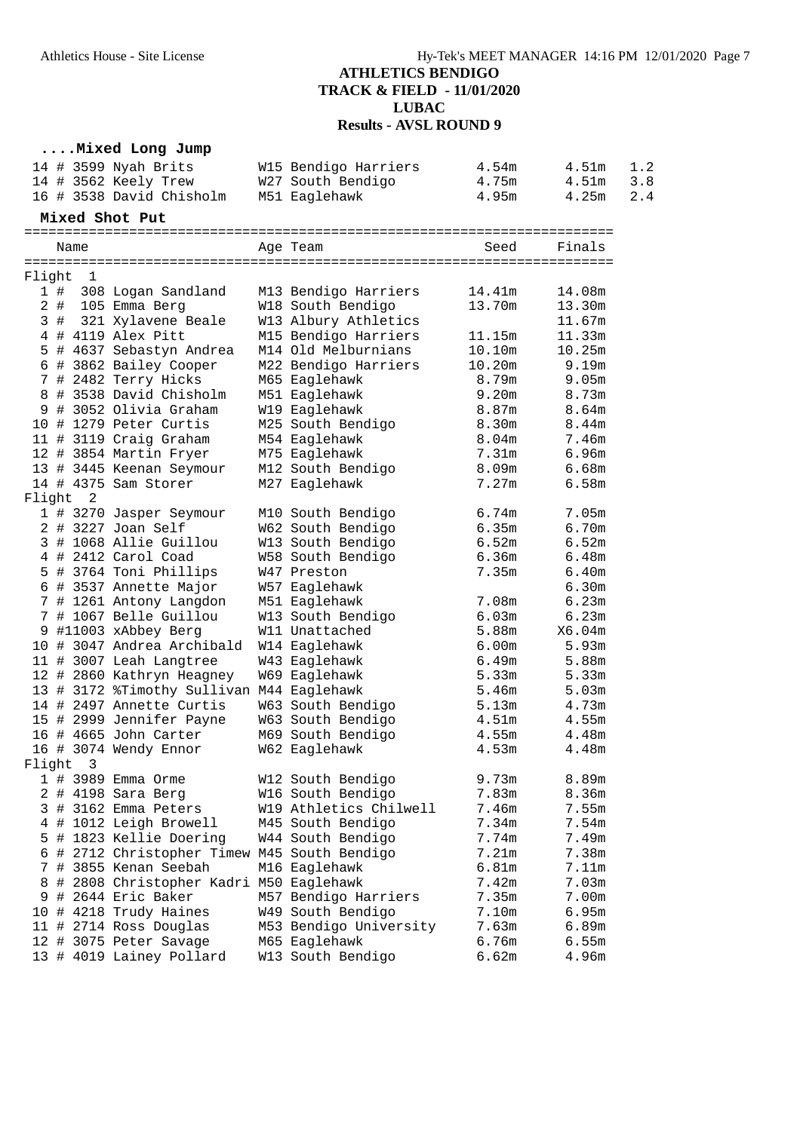### **....Mixed Long Jump**

| 14 # 3599 Nyah Brits     | W15 Bendigo Harriers | 4.54m | 4.51m     | 1.2 |
|--------------------------|----------------------|-------|-----------|-----|
| 14 # 3562 Keely Trew     | W27 South Bendigo    | 4.75m | 4.51m 3.8 |     |
| 16 # 3538 David Chisholm | M51 Eaqlehawk        | 4.95m | 4.25m 2.4 |     |

### **Mixed Shot Put**

|                 |       | Name           |                                            | Age Team               | Seed   | Finals |
|-----------------|-------|----------------|--------------------------------------------|------------------------|--------|--------|
| Flight          |       | 1              |                                            |                        |        |        |
|                 | 1#    |                | 308 Logan Sandland                         | M13 Bendigo Harriers   | 14.41m | 14.08m |
|                 | $2$ # |                | 105 Emma Berg                              | W18 South Bendigo      | 13.70m | 13.30m |
|                 | 3#    |                | 321 Xylavene Beale                         | W13 Albury Athletics   |        |        |
|                 |       |                |                                            |                        |        | 11.67m |
|                 |       |                | 4 # 4119 Alex Pitt                         | M15 Bendigo Harriers   | 11.15m | 11.33m |
| 5               |       |                | # 4637 Sebastyn Andrea                     | M14 Old Melburnians    | 10.10m | 10.25m |
|                 |       |                | 6 # 3862 Bailey Cooper                     | M22 Bendigo Harriers   | 10.20m | 9.19m  |
|                 |       |                | 7 # 2482 Terry Hicks                       | M65 Eaglehawk          | 8.79m  | 9.05m  |
|                 |       |                | 8 # 3538 David Chisholm                    | M51 Eaglehawk          | 9.20m  | 8.73m  |
|                 |       |                | 9 # 3052 Olivia Graham                     | W19 Eaglehawk          | 8.87m  | 8.64m  |
|                 |       |                | 10 # 1279 Peter Curtis                     | M25 South Bendigo      | 8.30m  | 8.44m  |
|                 |       |                | 11 # 3119 Craig Graham                     | M54 Eaglehawk          | 8.04m  | 7.46m  |
|                 |       |                | 12 # 3854 Martin Fryer                     | M75 Eaglehawk          | 7.31m  | 6.96m  |
|                 |       |                | 13 # 3445 Keenan Seymour                   | M12 South Bendigo      | 8.09m  | 6.68m  |
|                 |       |                | 14 # 4375 Sam Storer                       | M27 Eaglehawk          | 7.27m  | 6.58m  |
| Flight          |       | $\overline{a}$ |                                            |                        |        |        |
|                 |       |                | 1 # 3270 Jasper Seymour                    | M10 South Bendigo      | 6.74m  | 7.05m  |
|                 |       |                | 2 # 3227 Joan Self                         | W62 South Bendigo      | 6.35m  | 6.70m  |
|                 |       |                | 3 # 1068 Allie Guillou                     | W13 South Bendigo      | 6.52m  | 6.52m  |
|                 |       |                | 4 # 2412 Carol Coad                        | W58 South Bendigo      | 6.36m  | 6.48m  |
|                 |       |                | 5 # 3764 Toni Phillips                     | W47 Preston            | 7.35m  | 6.40m  |
|                 |       |                | 6 # 3537 Annette Major                     | W57 Eaglehawk          |        | 6.30m  |
|                 |       |                | 7 # 1261 Antony Langdon                    | M51 Eaglehawk          | 7.08m  | 6.23m  |
| $7\overline{ }$ |       |                | # 1067 Belle Guillou                       | W13 South Bendigo      | 6.03m  | 6.23m  |
|                 |       |                | 9 #11003 xAbbey Berg                       | W11 Unattached         | 5.88m  | X6.04m |
|                 |       |                | 10 # 3047 Andrea Archibald                 | W14 Eaglehawk          | 6.00m  | 5.93m  |
|                 |       |                | 11 # 3007 Leah Langtree                    | W43 Eaglehawk          | 6.49m  | 5.88m  |
|                 |       |                | 12 # 2860 Kathryn Heagney                  | W69 Eaglehawk          | 5.33m  | 5.33m  |
|                 |       |                | 13 # 3172 %Timothy Sullivan M44 Eaglehawk  |                        | 5.46m  | 5.03m  |
|                 |       |                | 14 # 2497 Annette Curtis                   | W63 South Bendigo      | 5.13m  | 4.73m  |
|                 |       |                | 15 # 2999 Jennifer Payne                   | W63 South Bendigo      | 4.51m  | 4.55m  |
|                 |       |                | 16 # 4665 John Carter                      | M69 South Bendigo      | 4.55m  | 4.48m  |
|                 |       |                | 16 # 3074 Wendy Ennor                      | W62 Eaglehawk          | 4.53m  | 4.48m  |
| Flight          |       | 3              |                                            |                        |        |        |
|                 |       |                | 1 # 3989 Emma Orme                         | W12 South Bendigo      | 9.73m  | 8.89m  |
|                 |       |                |                                            |                        |        |        |
|                 |       |                | 2 # 4198 Sara Berg                         | W16 South Bendigo      | 7.83m  | 8.36m  |
|                 |       |                | 3 # 3162 Emma Peters                       | W19 Athletics Chilwell | 7.46m  | 7.55m  |
|                 |       |                | 4 # 1012 Leigh Browell                     | M45 South Bendigo      | 7.34m  | 7.54m  |
| 5               |       |                | # 1823 Kellie Doering                      | W44 South Bendigo      | 7.74m  | 7.49m  |
| 6               |       |                | # 2712 Christopher Timew M45 South Bendigo |                        | 7.21m  | 7.38m  |
| 7               |       |                | # 3855 Kenan Seebah                        | M16 Eaglehawk          | 6.81m  | 7.11m  |
| 8               |       |                | # 2808 Christopher Kadri M50 Eaglehawk     |                        | 7.42m  | 7.03m  |
| 9               |       |                | # 2644 Eric Baker                          | M57 Bendigo Harriers   | 7.35m  | 7.00m  |
|                 |       |                | 10 # 4218 Trudy Haines                     | W49 South Bendigo      | 7.10m  | 6.95m  |
|                 |       |                | 11 # 2714 Ross Douglas                     | M53 Bendigo University | 7.63m  | 6.89m  |
|                 |       |                | 12 # 3075 Peter Savage                     | M65 Eaglehawk          | 6.76m  | 6.55m  |
|                 |       |                | 13 # 4019 Lainey Pollard                   | W13 South Bendigo      | 6.62m  | 4.96m  |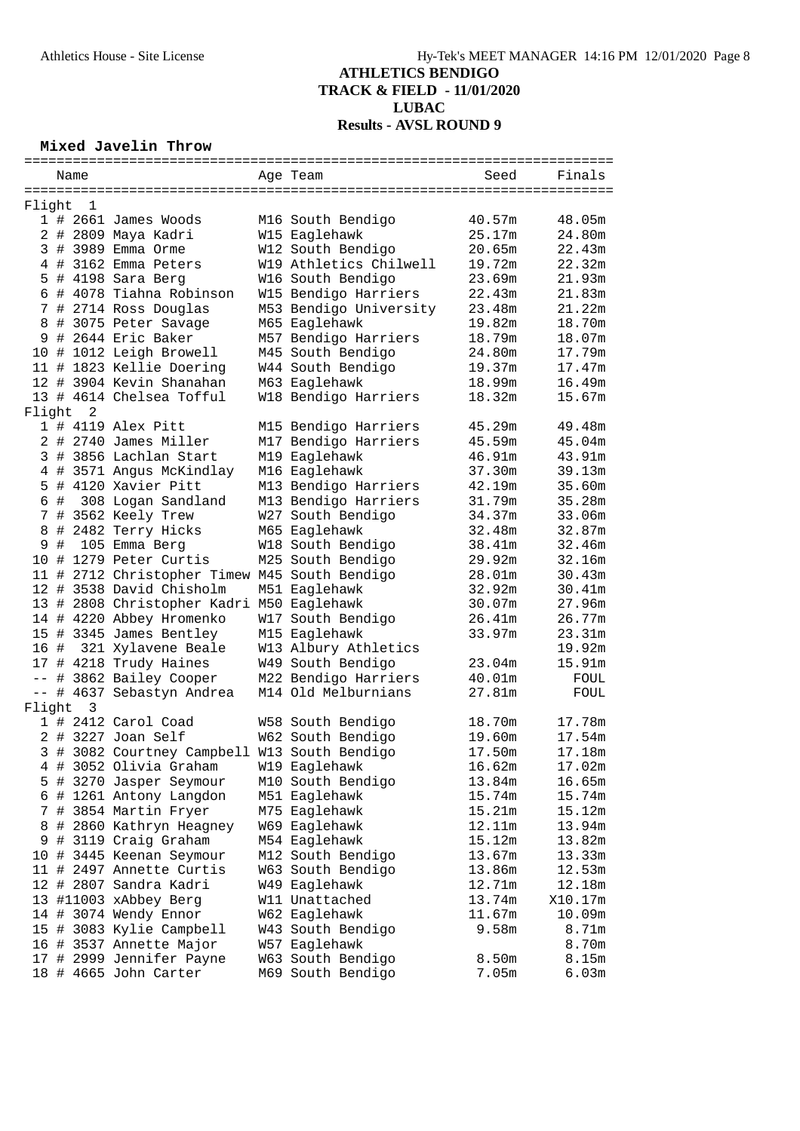# **Mixed Javelin Throw**

|          | Name |                |                                               | Age Team               | Seed   | Finals  |
|----------|------|----------------|-----------------------------------------------|------------------------|--------|---------|
|          |      |                |                                               |                        |        |         |
| Flight   |      | 1              |                                               |                        |        |         |
|          |      |                | $1$ # 2661 James Woods                        | M16 South Bendigo      | 40.57m | 48.05m  |
|          |      |                | 2 # 2809 Maya Kadri                           | W15 Eaglehawk          | 25.17m | 24.80m  |
|          |      |                | 3 # 3989 Emma Orme                            | W12 South Bendigo      | 20.65m | 22.43m  |
|          |      |                | 4 # 3162 Emma Peters                          | W19 Athletics Chilwell | 19.72m | 22.32m  |
|          |      |                | 5 # 4198 Sara Berg                            | W16 South Bendigo      | 23.69m | 21.93m  |
|          |      |                | 6 # 4078 Tiahna Robinson                      | W15 Bendigo Harriers   | 22.43m | 21.83m  |
|          |      |                | 7 # 2714 Ross Douglas                         | M53 Bendigo University | 23.48m | 21.22m  |
|          |      |                | 8 # 3075 Peter Savage                         | M65 Eaglehawk          | 19.82m | 18.70m  |
|          |      |                | 9 # 2644 Eric Baker                           | M57 Bendigo Harriers   | 18.79m | 18.07m  |
|          |      |                | 10 # 1012 Leigh Browell                       | M45 South Bendigo      | 24.80m | 17.79m  |
|          |      |                | 11 # 1823 Kellie Doering                      | W44 South Bendigo      | 19.37m | 17.47m  |
|          |      |                | 12 # 3904 Kevin Shanahan                      | M63 Eaglehawk          | 18.99m | 16.49m  |
|          |      |                | 13 # 4614 Chelsea Tofful                      | W18 Bendigo Harriers   | 18.32m | 15.67m  |
| Flight   |      | $\overline{2}$ |                                               |                        |        |         |
|          |      |                | 1 # 4119 Alex Pitt                            | M15 Bendigo Harriers   | 45.29m | 49.48m  |
|          |      |                | 2 # 2740 James Miller                         | M17 Bendigo Harriers   | 45.59m | 45.04m  |
|          |      |                | 3 # 3856 Lachlan Start                        | M19 Eaglehawk          | 46.91m | 43.91m  |
|          |      |                | 4 # 3571 Angus McKindlay                      | M16 Eaglehawk          | 37.30m | 39.13m  |
|          |      |                | 5 # 4120 Xavier Pitt                          |                        | 42.19m |         |
|          |      |                |                                               | M13 Bendigo Harriers   |        | 35.60m  |
|          |      |                | 6 # 308 Logan Sandland                        | M13 Bendigo Harriers   | 31.79m | 35.28m  |
|          |      |                | 7 # 3562 Keely Trew                           | W27 South Bendigo      | 34.37m | 33.06m  |
| 8        |      |                | # 2482 Terry Hicks                            | M65 Eaglehawk          | 32.48m | 32.87m  |
| 9        | #    |                | 105 Emma Berg                                 | W18 South Bendigo      | 38.41m | 32.46m  |
|          |      |                | 10 # 1279 Peter Curtis                        | M25 South Bendigo      | 29.92m | 32.16m  |
|          |      |                | 11 # 2712 Christopher Timew M45 South Bendigo |                        | 28.01m | 30.43m  |
|          |      |                | 12 # 3538 David Chisholm                      | M51 Eaglehawk          | 32.92m | 30.41m  |
|          |      |                | 13 # 2808 Christopher Kadri M50 Eaglehawk     |                        | 30.07m | 27.96m  |
|          |      |                | 14 # 4220 Abbey Hromenko                      | W17 South Bendigo      | 26.41m | 26.77m  |
|          |      |                | 15 # 3345 James Bentley                       | M15 Eaglehawk          | 33.97m | 23.31m  |
|          |      |                | 16 # 321 Xylavene Beale                       | W13 Albury Athletics   |        | 19.92m  |
|          |      |                | 17 # 4218 Trudy Haines                        | W49 South Bendigo      | 23.04m | 15.91m  |
|          |      |                | -- # 3862 Bailey Cooper                       | M22 Bendigo Harriers   | 40.01m | FOUL    |
|          |      |                | -- # 4637 Sebastyn Andrea                     | M14 Old Melburnians    | 27.81m | FOUL    |
| Flight 3 |      |                |                                               |                        |        |         |
|          |      |                | 1 # 2412 Carol Coad                           | W58 South Bendigo      | 18.70m | 17.78m  |
|          |      |                | 2 # 3227 Joan Self                            | W62 South Bendigo      | 19.60m | 17.54m  |
|          |      |                | 3 # 3082 Courtney Campbell W13 South Bendigo  |                        | 17.50m | 17.18m  |
|          |      |                | 4 # 3052 Olivia Graham                        | W19 Eaglehawk          | 16.62m | 17.02m  |
|          |      |                | 5 # 3270 Jasper Seymour                       | M10 South Bendigo      | 13.84m | 16.65m  |
| 6        |      |                | # 1261 Antony Langdon                         | M51 Eaglehawk          | 15.74m | 15.74m  |
|          |      |                | # 3854 Martin Fryer                           | M75 Eaglehawk          | 15.21m | 15.12m  |
| 7        |      |                |                                               |                        |        |         |
| 8        |      |                | # 2860 Kathryn Heagney                        | W69 Eaglehawk          | 12.11m | 13.94m  |
| 9        |      |                | # 3119 Craig Graham                           | M54 Eaglehawk          | 15.12m | 13.82m  |
|          |      |                | 10 # 3445 Keenan Seymour                      | M12 South Bendigo      | 13.67m | 13.33m  |
|          |      |                | 11 # 2497 Annette Curtis                      | W63 South Bendigo      | 13.86m | 12.53m  |
|          |      |                | 12 # 2807 Sandra Kadri                        | W49 Eaglehawk          | 12.71m | 12.18m  |
|          |      |                | 13 #11003 xAbbey Berg                         | W11 Unattached         | 13.74m | X10.17m |
|          |      |                | 14 # 3074 Wendy Ennor                         | W62 Eaglehawk          | 11.67m | 10.09m  |
|          |      |                | 15 # 3083 Kylie Campbell                      | W43 South Bendigo      | 9.58m  | 8.71m   |
|          |      |                | 16 # 3537 Annette Major                       | W57 Eaglehawk          |        | 8.70m   |
|          |      |                | 17 # 2999 Jennifer Payne                      | W63 South Bendigo      | 8.50m  | 8.15m   |
|          |      |                | 18 # 4665 John Carter                         | M69 South Bendigo      | 7.05m  | 6.03m   |